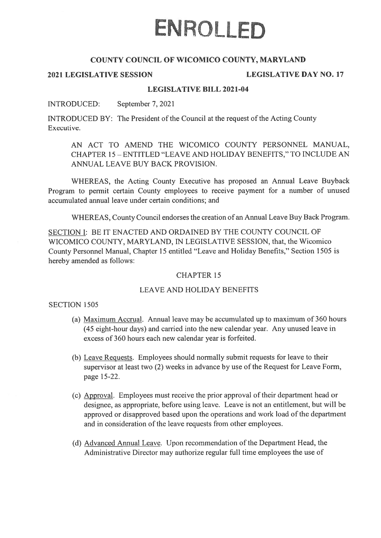# ENROLLED

# COUNTY COUNCIL OF WICOMICO COUNTY, MARYLAND

# 2021 LEGISLATIVE SESSION LEGISLATIVE DAY NO. 17

# LEGISLATIVE BILL 2021-04

INTRODUCED: September 7, 2021

INTRODUCED BY: The President of the Council at the reques<sup>t</sup> of the Acting County Executive.

AN ACT TO AMEND THE WICOMICO COUNTY PERSONNEL MANUAL, CHAPTER 15- ENTITLED "LEAVE AND HOLIDAY BENEFITS," TO INCLUDE AN ANNUAL LEAVE BUY BACK PROVISION.

WHEREAS, the Acting County Executive has proposed an Annual Leave Buyback Program to permit certain County employees to receive paymen<sup>t</sup> for <sup>a</sup> number of unused accumulated annual leave under certain conditions; and

WHEREAS, County Council endorses the creation of an Annual Leave Buy Back Program.

SECTION I: BE IT ENACTED AND ORDAINED BY THE COUNTY COUNCIL OF WICOMICO COUNTY, MARYLAND, IN LEGISLATIVE SESSION, that, the Wicomico County Personnel Manual, Chapter 15 entitled "Leave and Holiday Benefits," Section 1505 is hereby amended as follows:

# CHAPTER 15

## LEAVE AND HOLIDAY BENEFITS

# SECTION 1505

- (a) Maximum Accrual. Annual leave may be accumulated up to maximum of 360 hours (45 eight-hour days) and carried into the new calendar year. Any unused leave in excess of 360 hours each new calendar year is forfeited.
- (b) Leave Requests. Employees should normally submit requests for leave to their supervisor at least two (2) weeks in advance by use of the Request for Leave Form, page 15-22.
- (c) Approval. Employees must receive the prior approval of their department head or designee, as appropriate, before using leave. Leave is not an entitlement, but will be approved or disapproved based upon the operations and work load of the department and in consideration of the leave requests from other employees.
- (d) Advanced Annual Leave. Upon recommendation of the Department Head, the Administrative Director may authorize regular full time employees the use of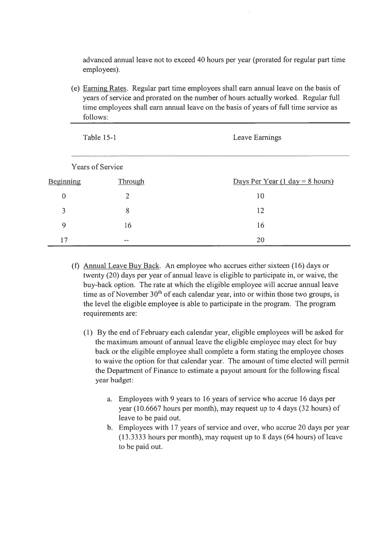advanced annual leave not to exceed 40 hours per year (prorated for regular par<sup>t</sup> time employees).

(e) Earning Rates. Regular par<sup>t</sup> time employees shall earn annual leave on the basis of years of service and prorated on the number of hours actually worked. Regular full time employees shall earn annual leave on the basis of years of full time service as follows:

| <b>Table 15-1</b>       |                | Leave Earnings                                    |
|-------------------------|----------------|---------------------------------------------------|
| <b>Years of Service</b> |                |                                                   |
| <b>Beginning</b>        | Through        | Days Per Year $(1 \text{ day} = 8 \text{ hours})$ |
| $\mathbf{0}$            | $\overline{2}$ | 10                                                |
| 3                       | 8              | 12                                                |
| 9                       | 16             | 16                                                |
| 17                      | --             | 20                                                |

- (f) Annual Leave Buy Back. An employee who accrues either sixteen (16) days or twenty (20) days per year of annual leave is eligible to participate in, or waive, the buy-back option. The rate at which the eligible employee will accrue annual leave time as of November  $30<sup>th</sup>$  of each calendar year, into or within those two groups, is the level the eligible employee is able to participate in the program. The program requirements are:
	- (1) By the end of February each calendar year, eligible employees will be asked for the maximum amount of annual leave the eligible employee may elect for buy back or the eligible employee shall complete <sup>a</sup> form stating the employee choses to waive the option for that calendar year. The amount of time elected will permit the Department of Finance to estimate <sup>a</sup> payou<sup>t</sup> amount for the following fiscal year budget:
		- a. Employees with 9 years to 16 years of service who accrue 16 days per year (10.6667 hours per month), may reques<sup>t</sup> up to 4 days (32 hours) of leave to be paid out.
		- b. Employees with 17 years of service and over, who accrue 20 days per year (13.3333 hours per month), may reques<sup>t</sup> up to 8 days (64 hours) of leave to be paid out.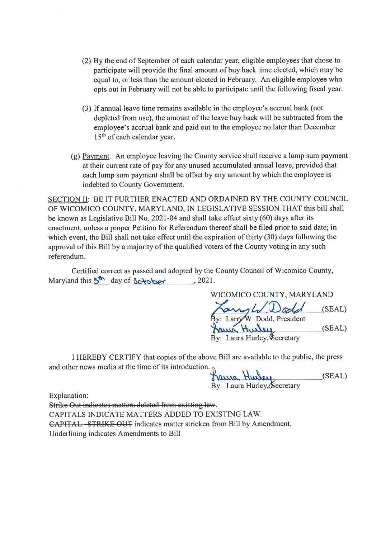- (2) By the end of September of each calendar year, eligible employees that chose to participate will provide the final amount of buy back time elected, which may be equal to, or less than the amount elected in February. An eligible employee who opts out in February will not be able to participate until the following fiscal year.
- (3) If annual leave time remains available in the employee's accrual bank (not depleted from use), the amount of the leave buy back will be subtracted from the employee's accrual bank and paid out to the employee no later than December  $15<sup>th</sup>$  of each calendar year.
- (g) Payment. An employee leaving the County service shall receive <sup>a</sup> lump sum paymen<sup>t</sup> at their current rate of pay for any unused accumulated annual leave, provided that each lump sum paymen<sup>t</sup> shall be offset by any amount by which the employee is indebted to County Government.

SECTION II: BE IT FURTHER ENACTED AND ORDAINED BY THE COUNTY COUNCIL OF WICOMICO COUNTY, MARYLAND, IN LEGISLATIVE SESSION THAT this bill shall be known as Legislative Bill No. 2021-04 and shall take effect sixty (60) days after its enactment, unless <sup>a</sup> proper Petition for Referendum thereof shall be filed prior to said date; in which event, the Bill shall not take effect until the expiration of thirty (30) days following the approval of this Bill by a majority of the qualified voters of the County voting in any such referendum.

Certified correct as passed and adopted by the County Council of Wicomico County, Maryland this  $5^{\text{th}}$  day of  $6$ c-rober , 2021.

WICOMICO COUNTY, MARYLAND ngh Dodd (SEAL) By: Larry W. Dodd, President Laura Hurley, **Secretary** 

<sup>I</sup> HEREBY CERTIFY that copies of the above Bill are available to the public, the press and other news media at the time of its introduction.

hassa Hurley, Eccretary (SEAL)

Explanation:

Strike Out indicates matters deleted from existing law. CAPITALS INDICATE MATTERS ADDED TO EXISTING LAW. CAPITAL STRIKE OUT indicates matter stricken from Bill by Amendment. Underlining indicates Amendments to Bill